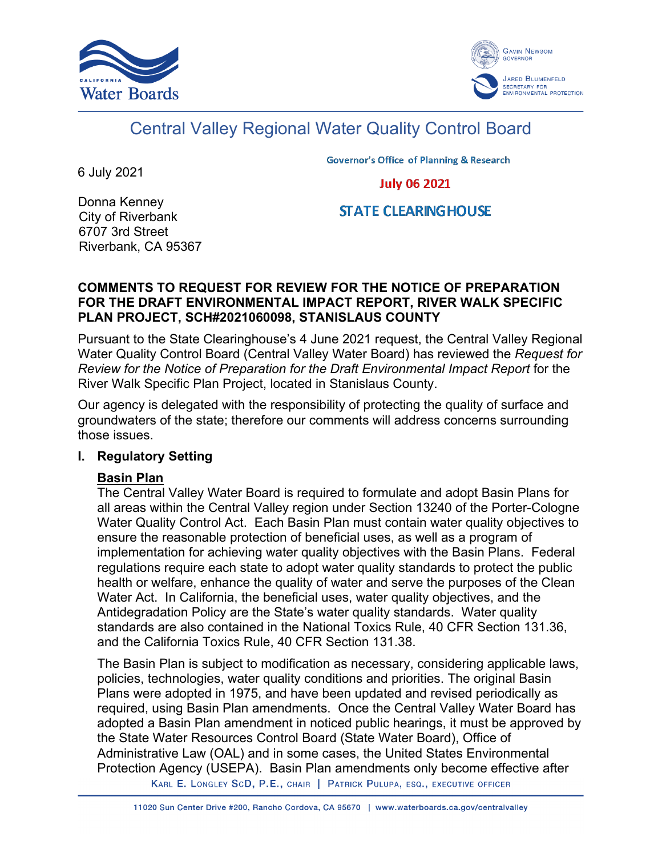



# Central Valley Regional Water Quality Control Board

6 July 2021

**Governor's Office of Planning & Research** 

**July 06 2021** 

## **STATE CLEARING HOUSE**

Donna Kenney City of Riverbank 6707 3rd Street Riverbank, CA 95367

### **COMMENTS TO REQUEST FOR REVIEW FOR THE NOTICE OF PREPARATION FOR THE DRAFT ENVIRONMENTAL IMPACT REPORT, RIVER WALK SPECIFIC PLAN PROJECT, SCH#2021060098, STANISLAUS COUNTY**

Pursuant to the State Clearinghouse's 4 June 2021 request, the Central Valley Regional Water Quality Control Board (Central Valley Water Board) has reviewed the *Request for Review for the Notice of Preparation for the Draft Environmental Impact Report* for the River Walk Specific Plan Project, located in Stanislaus County.

Our agency is delegated with the responsibility of protecting the quality of surface and groundwaters of the state; therefore our comments will address concerns surrounding those issues.

## **I. Regulatory Setting**

## **Basin Plan**

The Central Valley Water Board is required to formulate and adopt Basin Plans for all areas within the Central Valley region under Section 13240 of the Porter-Cologne Water Quality Control Act. Each Basin Plan must contain water quality objectives to ensure the reasonable protection of beneficial uses, as well as a program of implementation for achieving water quality objectives with the Basin Plans. Federal regulations require each state to adopt water quality standards to protect the public health or welfare, enhance the quality of water and serve the purposes of the Clean Water Act. In California, the beneficial uses, water quality objectives, and the Antidegradation Policy are the State's water quality standards. Water quality standards are also contained in the National Toxics Rule, 40 CFR Section 131.36, and the California Toxics Rule, 40 CFR Section 131.38.

The Basin Plan is subject to modification as necessary, considering applicable laws, policies, technologies, water quality conditions and priorities. The original Basin Plans were adopted in 1975, and have been updated and revised periodically as required, using Basin Plan amendments. Once the Central Valley Water Board has adopted a Basin Plan amendment in noticed public hearings, it must be approved by the State Water Resources Control Board (State Water Board), Office of Administrative Law (OAL) and in some cases, the United States Environmental Protection Agency (USEPA). Basin Plan amendments only become effective after

KARL E. LONGLEY SCD, P.E., CHAIR | PATRICK PULUPA, ESQ., EXECUTIVE OFFICER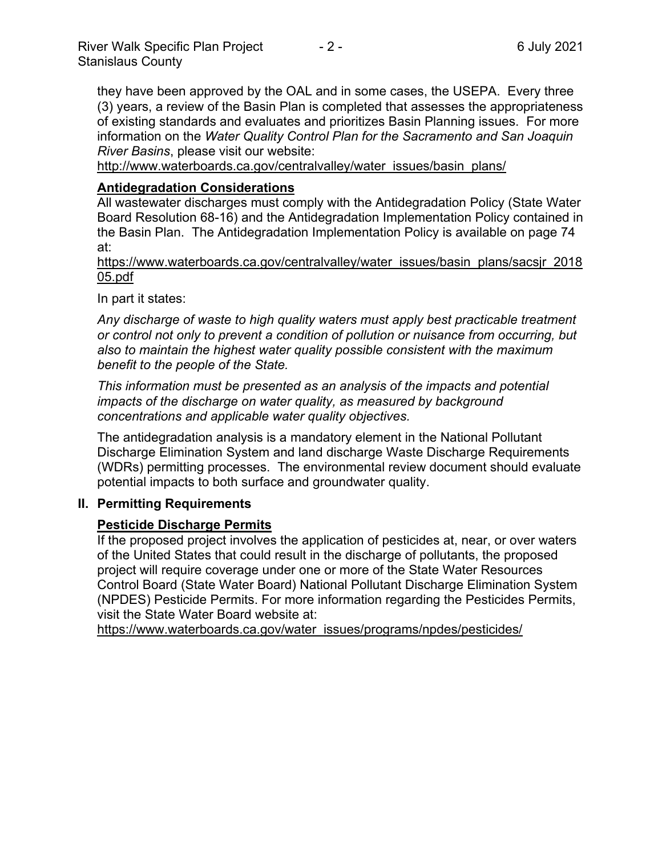they have been approved by the OAL and in some cases, the USEPA. Every three (3) years, a review of the Basin Plan is completed that assesses the appropriateness of existing standards and evaluates and prioritizes Basin Planning issues. For more information on the *Water Quality Control Plan for the Sacramento and San Joaquin River Basins*, please visit our website:

[http://www.waterboards.ca.gov/centralvalley/water\\_issues/basin\\_plans/](http://www.waterboards.ca.gov/centralvalley/water_issues/basin_plans/)

#### **Antidegradation Considerations**

All wastewater discharges must comply with the Antidegradation Policy (State Water Board Resolution 68-16) and the Antidegradation Implementation Policy contained in the Basin Plan. The Antidegradation Implementation Policy is available on page 74 at:

https://www.waterboards.ca.gov/centralvalley/water\_issues/basin\_plans/sacsjr\_2018 05.pdf

In part it states:

*Any discharge of waste to high quality waters must apply best practicable treatment or control not only to prevent a condition of pollution or nuisance from occurring, but also to maintain the highest water quality possible consistent with the maximum benefit to the people of the State.*

*This information must be presented as an analysis of the impacts and potential impacts of the discharge on water quality, as measured by background concentrations and applicable water quality objectives.*

The antidegradation analysis is a mandatory element in the National Pollutant Discharge Elimination System and land discharge Waste Discharge Requirements (WDRs) permitting processes. The environmental review document should evaluate potential impacts to both surface and groundwater quality.

#### **II. Permitting Requirements**

### **Pesticide Discharge Permits**

If the proposed project involves the application of pesticides at, near, or over waters of the United States that could result in the discharge of pollutants, the proposed project will require coverage under one or more of the State Water Resources Control Board (State Water Board) National Pollutant Discharge Elimination System (NPDES) Pesticide Permits. For more information regarding the Pesticides Permits, visit the State Water Board website at:

https://www.waterboards.ca.gov/water\_issues/programs/npdes/pesticides/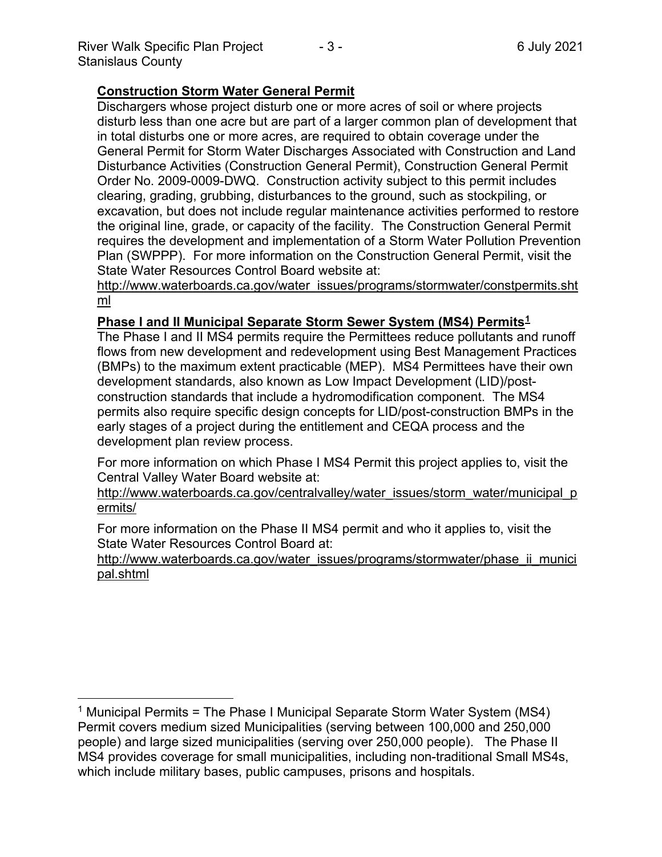## **Construction Storm Water General Permit**

Dischargers whose project disturb one or more acres of soil or where projects disturb less than one acre but are part of a larger common plan of development that in total disturbs one or more acres, are required to obtain coverage under the General Permit for Storm Water Discharges Associated with Construction and Land Disturbance Activities (Construction General Permit), Construction General Permit Order No. 2009-0009-DWQ. Construction activity subject to this permit includes clearing, grading, grubbing, disturbances to the ground, such as stockpiling, or excavation, but does not include regular maintenance activities performed to restore the original line, grade, or capacity of the facility. The Construction General Permit requires the development and implementation of a Storm Water Pollution Prevention Plan (SWPPP). For more information on the Construction General Permit, visit the State Water Resources Control Board website at:

[http://www.waterboards.ca.gov/water\\_issues/programs/stormwater/constpermits.sht](http://www.waterboards.ca.gov/water_issues/programs/stormwater/constpermits.shtml) [ml](http://www.waterboards.ca.gov/water_issues/programs/stormwater/constpermits.shtml)

### **Phase I and II Municipal Separate Storm Sewer System (MS4) Permits[1](#page-2-0)**

The Phase I and II MS4 permits require the Permittees reduce pollutants and runoff flows from new development and redevelopment using Best Management Practices (BMPs) to the maximum extent practicable (MEP). MS4 Permittees have their own development standards, also known as Low Impact Development (LID)/postconstruction standards that include a hydromodification component. The MS4 permits also require specific design concepts for LID/post-construction BMPs in the early stages of a project during the entitlement and CEQA process and the development plan review process.

For more information on which Phase I MS4 Permit this project applies to, visit the Central Valley Water Board website at:

http://www.waterboards.ca.gov/centralvalley/water\_issues/storm\_water/municipal\_p ermits/

For more information on the Phase II MS4 permit and who it applies to, visit the State Water Resources Control Board at:

http://www.waterboards.ca.gov/water\_issues/programs/stormwater/phase\_ii\_munici pal.shtml

<span id="page-2-0"></span><sup>&</sup>lt;sup>1</sup> Municipal Permits = The Phase I Municipal Separate Storm Water System (MS4) Permit covers medium sized Municipalities (serving between 100,000 and 250,000 people) and large sized municipalities (serving over 250,000 people). The Phase II MS4 provides coverage for small municipalities, including non-traditional Small MS4s, which include military bases, public campuses, prisons and hospitals.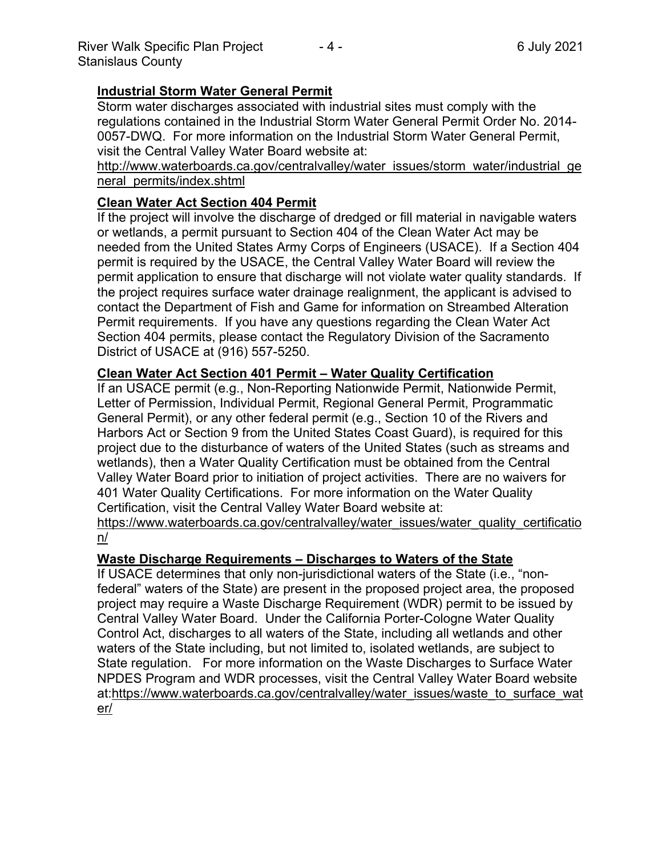Storm water discharges associated with industrial sites must comply with the regulations contained in the Industrial Storm Water General Permit Order No. 2014- 0057-DWQ. For more information on the Industrial Storm Water General Permit, visit the Central Valley Water Board website at:

http://www.waterboards.ca.gov/centralvalley/water\_issues/storm\_water/industrial\_ge neral\_permits/index.shtml

## **Clean Water Act Section 404 Permit**

If the project will involve the discharge of dredged or fill material in navigable waters or wetlands, a permit pursuant to Section 404 of the Clean Water Act may be needed from the United States Army Corps of Engineers (USACE). If a Section 404 permit is required by the USACE, the Central Valley Water Board will review the permit application to ensure that discharge will not violate water quality standards. If the project requires surface water drainage realignment, the applicant is advised to contact the Department of Fish and Game for information on Streambed Alteration Permit requirements. If you have any questions regarding the Clean Water Act Section 404 permits, please contact the Regulatory Division of the Sacramento District of USACE at (916) 557-5250.

## **Clean Water Act Section 401 Permit – Water Quality Certification**

If an USACE permit (e.g., Non-Reporting Nationwide Permit, Nationwide Permit, Letter of Permission, Individual Permit, Regional General Permit, Programmatic General Permit), or any other federal permit (e.g., Section 10 of the Rivers and Harbors Act or Section 9 from the United States Coast Guard), is required for this project due to the disturbance of waters of the United States (such as streams and wetlands), then a Water Quality Certification must be obtained from the Central Valley Water Board prior to initiation of project activities. There are no waivers for 401 Water Quality Certifications. For more information on the Water Quality Certification, visit the Central Valley Water Board website at: https://www.waterboards.ca.gov/centralvalley/water\_issues/water\_quality\_certificatio n/

## **Waste Discharge Requirements – Discharges to Waters of the State**

If USACE determines that only non-jurisdictional waters of the State (i.e., "nonfederal" waters of the State) are present in the proposed project area, the proposed project may require a Waste Discharge Requirement (WDR) permit to be issued by Central Valley Water Board. Under the California Porter-Cologne Water Quality Control Act, discharges to all waters of the State, including all wetlands and other waters of the State including, but not limited to, isolated wetlands, are subject to State regulation. For more information on the Waste Discharges to Surface Water NPDES Program and WDR processes, visit the Central Valley Water Board website at:https://www.waterboards.ca.gov/centralvalley/water\_issues/waste\_to\_surface\_wat er/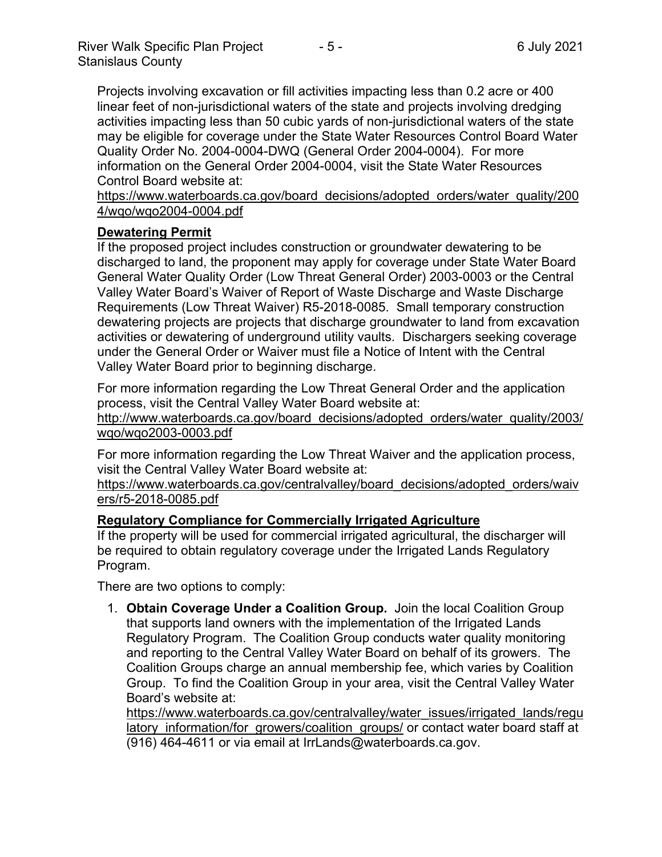Projects involving excavation or fill activities impacting less than 0.2 acre or 400 linear feet of non-jurisdictional waters of the state and projects involving dredging activities impacting less than 50 cubic yards of non-jurisdictional waters of the state may be eligible for coverage under the State Water Resources Control Board Water Quality Order No. 2004-0004-DWQ (General Order 2004-0004). For more information on the General Order 2004-0004, visit the State Water Resources Control Board website at:

https://www.waterboards.ca.gov/board\_decisions/adopted\_orders/water\_quality/200 4/wqo/wqo2004-0004.pdf

## **Dewatering Permit**

If the proposed project includes construction or groundwater dewatering to be discharged to land, the proponent may apply for coverage under State Water Board General Water Quality Order (Low Threat General Order) 2003-0003 or the Central Valley Water Board's Waiver of Report of Waste Discharge and Waste Discharge Requirements (Low Threat Waiver) R5-2018-0085. Small temporary construction dewatering projects are projects that discharge groundwater to land from excavation activities or dewatering of underground utility vaults. Dischargers seeking coverage under the General Order or Waiver must file a Notice of Intent with the Central Valley Water Board prior to beginning discharge.

For more information regarding the Low Threat General Order and the application process, visit the Central Valley Water Board website at:

http://www.waterboards.ca.gov/board decisions/adopted orders/water quality/2003/ wqo/wqo2003-0003.pdf

For more information regarding the Low Threat Waiver and the application process, visit the Central Valley Water Board website at:

https://www.waterboards.ca.gov/centralvalley/board\_decisions/adopted\_orders/waiv ers/r5-2018-0085.pdf

## **Regulatory Compliance for Commercially Irrigated Agriculture**

If the property will be used for commercial irrigated agricultural, the discharger will be required to obtain regulatory coverage under the Irrigated Lands Regulatory Program.

There are two options to comply:

1. **Obtain Coverage Under a Coalition Group.** Join the local Coalition Group that supports land owners with the implementation of the Irrigated Lands Regulatory Program. The Coalition Group conducts water quality monitoring and reporting to the Central Valley Water Board on behalf of its growers. The Coalition Groups charge an annual membership fee, which varies by Coalition Group. To find the Coalition Group in your area, visit the Central Valley Water Board's website at:

https://www.waterboards.ca.gov/centralvalley/water\_issues/irrigated\_lands/regu latory information/for growers/coalition groups/ or contact water board staff at (916) 464-4611 or via email at IrrLands@waterboards.ca.gov.